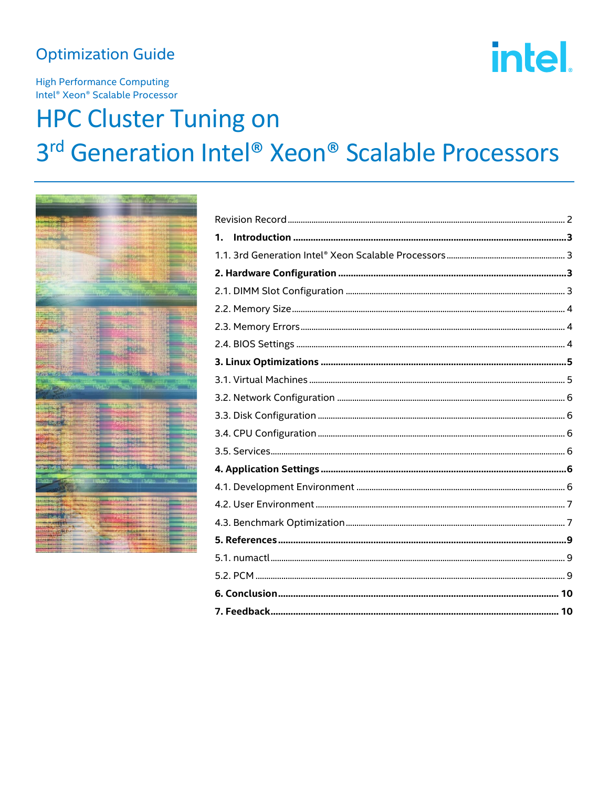# **Optimization Guide**

# intel.

**High Performance Computing** Intel® Xeon® Scalable Processor

# **HPC Cluster Tuning on** 3rd Generation Intel® Xeon® Scalable Processors



| 1. |  |
|----|--|
|    |  |
|    |  |
|    |  |
|    |  |
|    |  |
|    |  |
|    |  |
|    |  |
|    |  |
|    |  |
|    |  |
|    |  |
|    |  |
|    |  |
|    |  |
|    |  |
|    |  |
|    |  |
|    |  |
|    |  |
|    |  |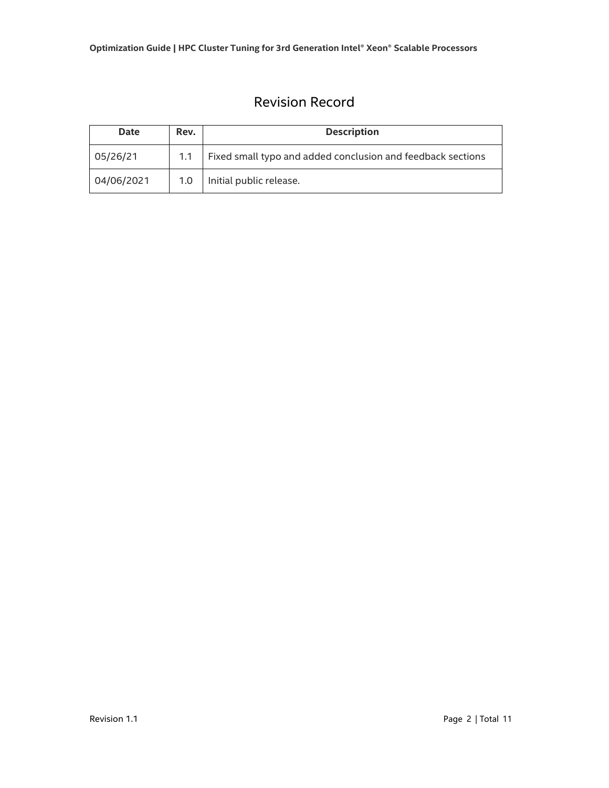# Revision Record

<span id="page-1-0"></span>

| Date       | Rev.             | <b>Description</b>                                          |
|------------|------------------|-------------------------------------------------------------|
| 05/26/21   |                  | Fixed small typo and added conclusion and feedback sections |
| 04/06/2021 | 1.0 <sub>1</sub> | Initial public release.                                     |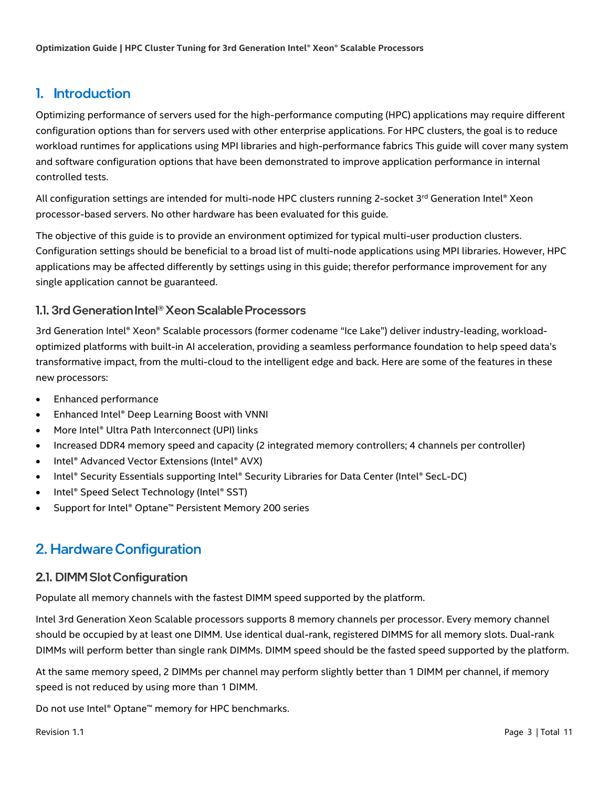#### <span id="page-2-0"></span>1. Introduction

Optimizing performance of servers used for the high-performance computing (HPC) applications may require different configuration options than for servers used with other enterprise applications. For HPC clusters, the goal is to reduce workload runtimes for applications using MPI libraries and high-performance fabrics This guide will cover many system and software configuration options that have been demonstrated to improve application performance in internal controlled tests.

All configuration settings are intended for multi-node HPC clusters running 2-socket 3<sup>rd</sup> Generation Intel® Xeon processor-based servers. No other hardware has been evaluated for this guide.

The objective of this guide is to provide an environment optimized for typical multi-user production clusters. Configuration settings should be beneficial to a broad list of multi-node applications using MPI libraries. However, HPC applications may be affected differently by settings using in this guide; therefor performance improvement for any single application cannot be guaranteed.

#### <span id="page-2-1"></span>1.1. 3rd Generation Intel® Xeon Scalable Processors

3rd Generation Intel® Xeon® Scalable processors (former codename "Ice Lake") deliver industry-leading, workloadoptimized platforms with built-in AI acceleration, providing a seamless performance foundation to help speed data's transformative impact, from the multi-cloud to the intelligent edge and back. Here are some of the features in these new processors:

- Enhanced performance
- Enhanced Intel® Deep Learning Boost with VNNI
- More Intel® Ultra Path Interconnect (UPI) links
- Increased DDR4 memory speed and capacity (2 integrated memory controllers; 4 channels per controller)
- Intel® Advanced Vector Extensions (Intel® AVX)
- Intel® Security Essentials supporting Intel® Security Libraries for Data Center (Intel® SecL-DC)
- Intel® Speed Select Technology (Intel® SST)
- <span id="page-2-2"></span>• Support for Intel® Optane™ Persistent Memory 200 series

# 2. Hardware Configuration

#### <span id="page-2-3"></span>2.1. DIMM Slot Configuration

Populate all memory channels with the fastest DIMM speed supported by the platform.

Intel 3rd Generation Xeon Scalable processors supports 8 memory channels per processor. Every memory channel should be occupied by at least one DIMM. Use identical dual-rank, registered DIMMS for all memory slots. Dual-rank DIMMs will perform better than single rank DIMMs. DIMM speed should be the fasted speed supported by the platform.

At the same memory speed, 2 DIMMs per channel may perform slightly better than 1 DIMM per channel, if memory speed is not reduced by using more than 1 DIMM.

Do not use Intel® Optane™ memory for HPC benchmarks.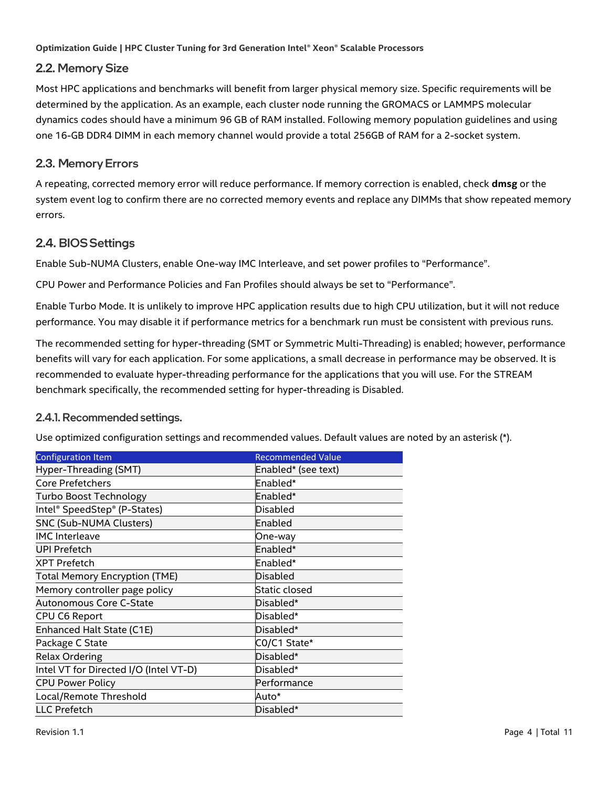#### <span id="page-3-0"></span>2.2. Memory Size

Most HPC applications and benchmarks will benefit from larger physical memory size. Specific requirements will be determined by the application. As an example, each cluster node running the GROMACS or LAMMPS molecular dynamics codes should have a minimum 96 GB of RAM installed. Following memory population guidelines and using one 16-GB DDR4 DIMM in each memory channel would provide a total 256GB of RAM for a 2-socket system.

#### <span id="page-3-1"></span>2.3. Memory Errors

A repeating, corrected memory error will reduce performance. If memory correction is enabled, check **dmsg** or the system event log to confirm there are no corrected memory events and replace any DIMMs that show repeated memory errors.

#### <span id="page-3-2"></span>2.4. BIOS Settings

Enable Sub-NUMA Clusters, enable One-way IMC Interleave, and set power profiles to "Performance".

CPU Power and Performance Policies and Fan Profiles should always be set to "Performance".

Enable Turbo Mode. It is unlikely to improve HPC application results due to high CPU utilization, but it will not reduce performance. You may disable it if performance metrics for a benchmark run must be consistent with previous runs.

The recommended setting for hyper-threading (SMT or Symmetric Multi-Threading) is enabled; however, performance benefits will vary for each application. For some applications, a small decrease in performance may be observed. It is recommended to evaluate hyper-threading performance for the applications that you will use. For the STREAM benchmark specifically, the recommended setting for hyper-threading is Disabled.

#### 2.4.1. Recommended settings.

Use optimized configuration settings and recommended values. Default values are noted by an asterisk (\*).

| <b>Configuration Item</b>              | <b>Recommended Value</b> |
|----------------------------------------|--------------------------|
| Hyper-Threading (SMT)                  | Enabled* (see text)      |
| <b>Core Prefetchers</b>                | Enabled*                 |
| <b>Turbo Boost Technology</b>          | Enabled*                 |
| Intel® SpeedStep® (P-States)           | Disabled                 |
| <b>SNC (Sub-NUMA Clusters)</b>         | lEnabled                 |
| <b>IMC</b> Interleave                  | One-way                  |
| <b>UPI Prefetch</b>                    | Enabled*                 |
| <b>XPT Prefetch</b>                    | Enabled*                 |
| <b>Total Memory Encryption (TME)</b>   | <b>Disabled</b>          |
| Memory controller page policy          | Static closed            |
| Autonomous Core C-State                | Disabled*                |
| CPU C6 Report                          | Disabled*                |
| Enhanced Halt State (C1E)              | Disabled*                |
| Package C State                        | CO/C1 State*             |
| <b>Relax Ordering</b>                  | Disabled*                |
| Intel VT for Directed I/O (Intel VT-D) | Disabled*                |
| <b>CPU Power Policy</b>                | Performance              |
| Local/Remote Threshold                 | Auto*                    |
| <b>LLC Prefetch</b>                    | Disabled*                |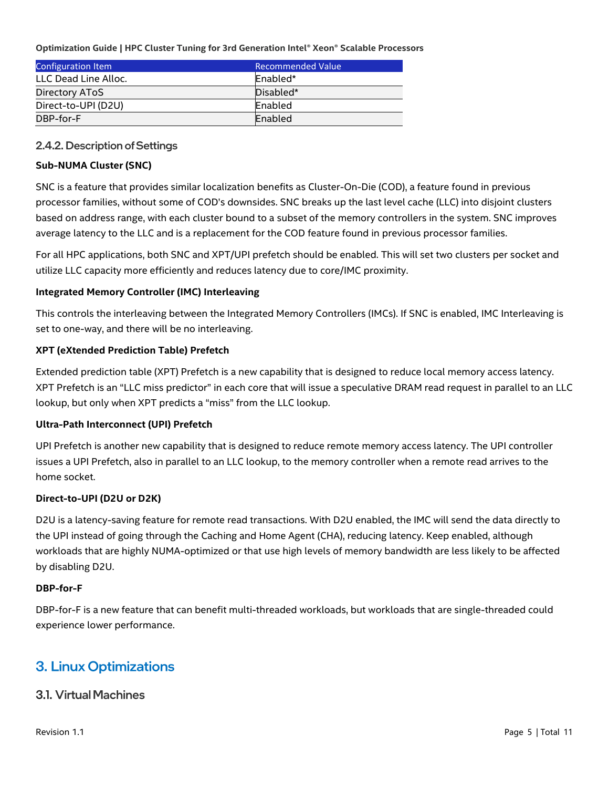| Configuration Item   | <b>Recommended Value</b> |
|----------------------|--------------------------|
| LLC Dead Line Alloc. | Enabled*                 |
| Directory AToS       | Disabled*                |
| Direct-to-UPI (D2U)  | Enabled                  |
| DBP-for-F            | Enabled                  |

#### 2.4.2. Description of Settings

#### **Sub-NUMA Cluster (SNC)**

SNC is a feature that provides similar localization benefits as Cluster-On-Die (COD), a feature found in previous processor families, without some of COD's downsides. SNC breaks up the last level cache (LLC) into disjoint clusters based on address range, with each cluster bound to a subset of the memory controllers in the system. SNC improves average latency to the LLC and is a replacement for the COD feature found in previous processor families.

For all HPC applications, both SNC and XPT/UPI prefetch should be enabled. This will set two clusters per socket and utilize LLC capacity more efficiently and reduces latency due to core/IMC proximity.

#### **Integrated Memory Controller (IMC) Interleaving**

This controls the interleaving between the Integrated Memory Controllers (IMCs). If SNC is enabled, IMC Interleaving is set to one-way, and there will be no interleaving.

#### **XPT (eXtended Prediction Table) Prefetch**

Extended prediction table (XPT) Prefetch is a new capability that is designed to reduce local memory access latency. XPT Prefetch is an "LLC miss predictor" in each core that will issue a speculative DRAM read request in parallel to an LLC lookup, but only when XPT predicts a "miss" from the LLC lookup.

#### **Ultra-Path Interconnect (UPI) Prefetch**

UPI Prefetch is another new capability that is designed to reduce remote memory access latency. The UPI controller issues a UPI Prefetch, also in parallel to an LLC lookup, to the memory controller when a remote read arrives to the home socket.

#### **Direct-to-UPI (D2U or D2K)**

D2U is a latency-saving feature for remote read transactions. With D2U enabled, the IMC will send the data directly to the UPI instead of going through the Caching and Home Agent (CHA), reducing latency. Keep enabled, although workloads that are highly NUMA-optimized or that use high levels of memory bandwidth are less likely to be affected by disabling D2U.

#### **DBP-for-F**

DBP-for-F is a new feature that can benefit multi-threaded workloads, but workloads that are single-threaded could experience lower performance.

### <span id="page-4-0"></span>**3. Linux Optimizations**

#### <span id="page-4-1"></span>**3.1. Virtual Machines**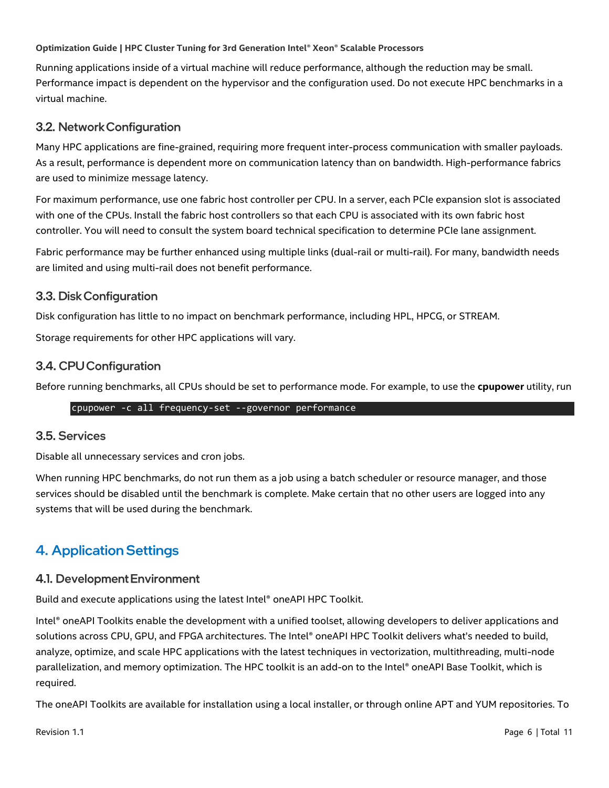Running applications inside of a virtual machine will reduce performance, although the reduction may be small. Performance impact is dependent on the hypervisor and the configuration used. Do not execute HPC benchmarks in a virtual machine.

#### <span id="page-5-0"></span>3.2. Network Configuration

Many HPC applications are fine-grained, requiring more frequent inter-process communication with smaller payloads. As a result, performance is dependent more on communication latency than on bandwidth. High-performance fabrics are used to minimize message latency.

For maximum performance, use one fabric host controller per CPU. In a server, each PCIe expansion slot is associated with one of the CPUs. Install the fabric host controllers so that each CPU is associated with its own fabric host controller. You will need to consult the system board technical specification to determine PCIe lane assignment.

Fabric performance may be further enhanced using multiple links (dual-rail or multi-rail). For many, bandwidth needs are limited and using multi-rail does not benefit performance.

#### <span id="page-5-1"></span>3.3. Disk Configuration

Disk configuration has little to no impact on benchmark performance, including HPL, HPCG, or STREAM.

Storage requirements for other HPC applications will vary.

#### <span id="page-5-2"></span>3.4. CPU Configuration

Before running benchmarks, all CPUs should be set to performance mode. For example, to use the **cpupower** utility, run

#### cpupower -c all frequency-set --governor performance

#### <span id="page-5-3"></span>3.5. Services

Disable all unnecessary services and cron jobs.

When running HPC benchmarks, do not run them as a job using a batch scheduler or resource manager, and those services should be disabled until the benchmark is complete. Make certain that no other users are logged into any systems that will be used during the benchmark.

# <span id="page-5-4"></span>**4. Application Settings**

#### <span id="page-5-5"></span>4.1. Development Environment

Build and execute applications using the latest Intel® oneAPI HPC Toolkit.

Intel® oneAPI Toolkits enable the development with a unified toolset, allowing developers to deliver applications and solutions across CPU, GPU, and FPGA architectures. The Intel® oneAPI HPC Toolkit delivers what's needed to build, analyze, optimize, and scale HPC applications with the latest techniques in vectorization, multithreading, multi-node parallelization, and memory optimization. The HPC toolkit is an add-on to the Intel® oneAPI Base Toolkit, which is required.

The oneAPI Toolkits are available for installation using a local installer, or through online APT and YUM repositories. To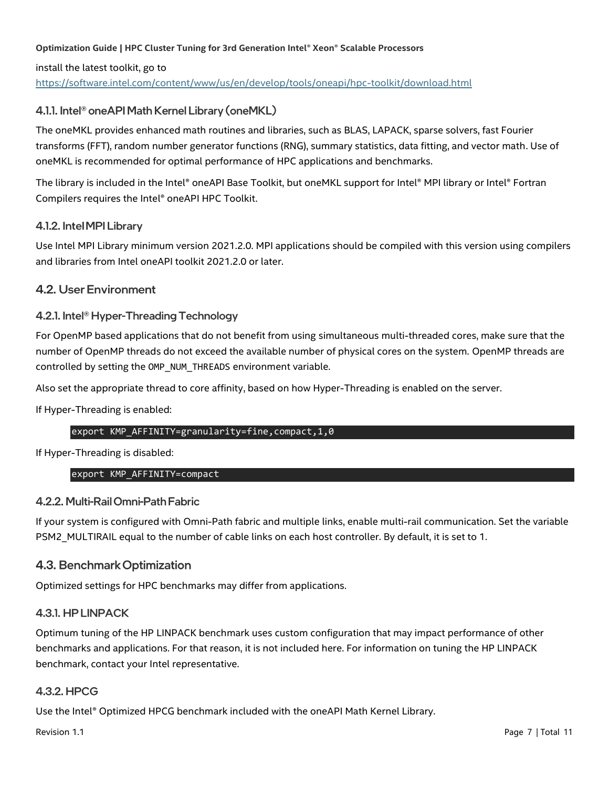install the latest toolkit, go to <https://software.intel.com/content/www/us/en/develop/tools/oneapi/hpc-toolkit/download.html>

#### 4.1.1. Intel<sup>®</sup> oneAPI Math Kernel Library (oneMKL)

The oneMKL provides enhanced math routines and libraries, such as BLAS, LAPACK, sparse solvers, fast Fourier transforms (FFT), random number generator functions (RNG), summary statistics, data fitting, and vector math. Use of oneMKL is recommended for optimal performance of HPC applications and benchmarks.

The library is included in the Intel® oneAPI Base Toolkit, but oneMKL support for Intel® MPI library or Intel® Fortran Compilers requires the Intel® oneAPI HPC Toolkit.

#### 4.1.2. Intel MPI Library

Use Intel MPI Library minimum version 2021.2.0. MPI applications should be compiled with this version using compilers and libraries from Intel oneAPI toolkit 2021.2.0 or later.

#### <span id="page-6-0"></span>4.2. User Environment

#### 4.2.1. Intel<sup>®</sup> Hyper-Threading Technology

For OpenMP based applications that do not benefit from using simultaneous multi-threaded cores, make sure that the number of OpenMP threads do not exceed the available number of physical cores on the system. OpenMP threads are controlled by setting the OMP\_NUM\_THREADS environment variable.

Also set the appropriate thread to core affinity, based on how Hyper-Threading is enabled on the server.

If Hyper-Threading is enabled:

#### export KMP AFFINITY=granularity=fine, compact, 1,0

If Hyper-Threading is disabled:

#### export KMP\_AFFINITY=compact

#### 4.2.2. Multi-Rail Omni-Path Fabric

If your system is configured with Omni-Path fabric and multiple links, enable multi-rail communication. Set the variable PSM2\_MULTIRAIL equal to the number of cable links on each host controller. By default, it is set to 1.

#### <span id="page-6-1"></span>4.3. Benchmark Optimization

Optimized settings for HPC benchmarks may differ from applications.

#### 4.3.1. HP LINPACK

Optimum tuning of the HP LINPACK benchmark uses custom configuration that may impact performance of other benchmarks and applications. For that reason, it is not included here. For information on tuning the HP LINPACK benchmark, contact your Intel representative.

#### 4.3.2. HPCG

Use the Intel® Optimized HPCG benchmark included with the oneAPI Math Kernel Library.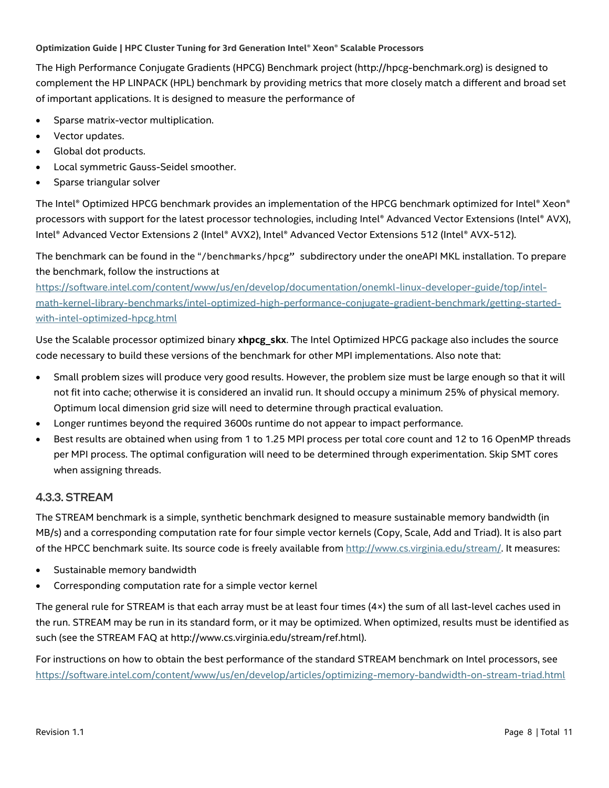The High Performance Conjugate Gradients (HPCG) Benchmark project (http://hpcg-benchmark.org) is designed to complement the HP LINPACK (HPL) benchmark by providing metrics that more closely match a different and broad set of important applications. It is designed to measure the performance of

- Sparse matrix-vector multiplication.
- Vector updates.
- Global dot products.
- Local symmetric Gauss-Seidel smoother.
- Sparse triangular solver

The Intel® Optimized HPCG benchmark provides an implementation of the HPCG benchmark optimized for Intel® Xeon® processors with support for the latest processor technologies, including Intel® Advanced Vector Extensions (Intel® AVX), Intel® Advanced Vector Extensions 2 (Intel® AVX2), Intel® Advanced Vector Extensions 512 (Intel® AVX-512).

The benchmark can be found in the "/benchmarks/hpcg" subdirectory under the oneAPI MKL installation. To prepare the benchmark, follow the instructions at

[https://software.intel.com/content/www/us/en/develop/documentation/onemkl-linux-developer-guide/top/intel](https://software.intel.com/content/www/us/en/develop/documentation/onemkl-linux-developer-guide/top/intel-math-kernel-library-benchmarks/intel-optimized-high-performance-conjugate-gradient-benchmark/getting-started-with-intel-optimized-hpcg.html)[math-kernel-library-benchmarks/intel-optimized-high-performance-conjugate-gradient-benchmark/getting-started](https://software.intel.com/content/www/us/en/develop/documentation/onemkl-linux-developer-guide/top/intel-math-kernel-library-benchmarks/intel-optimized-high-performance-conjugate-gradient-benchmark/getting-started-with-intel-optimized-hpcg.html)[with-intel-optimized-hpcg.html](https://software.intel.com/content/www/us/en/develop/documentation/onemkl-linux-developer-guide/top/intel-math-kernel-library-benchmarks/intel-optimized-high-performance-conjugate-gradient-benchmark/getting-started-with-intel-optimized-hpcg.html)

Use the Scalable processor optimized binary **xhpcg\_skx**. The Intel Optimized HPCG package also includes the source code necessary to build these versions of the benchmark for other MPI implementations. Also note that:

- Small problem sizes will produce very good results. However, the problem size must be large enough so that it will not fit into cache; otherwise it is considered an invalid run. It should occupy a minimum 25% of physical memory. Optimum local dimension grid size will need to determine through practical evaluation.
- Longer runtimes beyond the required 3600s runtime do not appear to impact performance.
- Best results are obtained when using from 1 to 1.25 MPI process per total core count and 12 to 16 OpenMP threads per MPI process. The optimal configuration will need to be determined through experimentation. Skip SMT cores when assigning threads.

#### **4.3.3. STREAM**

The STREAM benchmark is a simple, synthetic benchmark designed to measure sustainable memory bandwidth (in MB/s) and a corresponding computation rate for four simple vector kernels (Copy, Scale, Add and Triad). It is also part of the HPCC benchmark suite. Its source code is freely available from [http://www.cs.virginia.edu/stream/.](http://www.cs.virginia.edu/stream/) It measures:

- Sustainable memory bandwidth
- Corresponding computation rate for a simple vector kernel

The general rule for STREAM is that each array must be at least four times (4×) the sum of all last-level caches used in the run. STREAM may be run in its standard form, or it may be optimized. When optimized, results must be identified as such (see the STREAM FAQ at http://www.cs.virginia.edu/stream/ref.html).

For instructions on how to obtain the best performance of the standard STREAM benchmark on Intel processors, see <https://software.intel.com/content/www/us/en/develop/articles/optimizing-memory-bandwidth-on-stream-triad.html>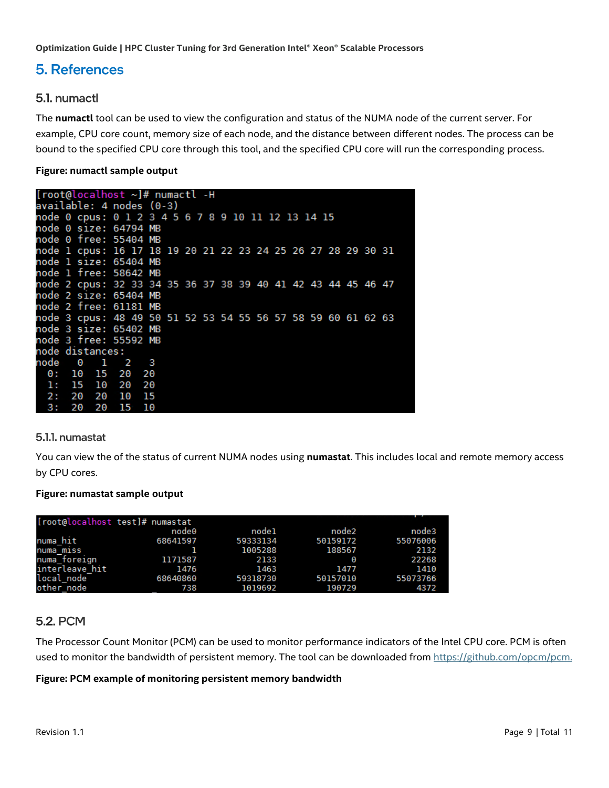## <span id="page-8-0"></span>**5. References**

#### <span id="page-8-1"></span>5.1. numactl

The **numactl** tool can be used to view the configuration and status of the NUMA node of the current server. For example, CPU core count, memory size of each node, and the distance between different nodes. The process can be bound to the specified CPU core through this tool, and the specified CPU core will run the corresponding process.

#### **Figure: numactl sample output**

| [root@localhost ~]# numactl -H                               |                          |  |      |       |       |     |  |  |  |  |  |  |  |  |  |  |  |
|--------------------------------------------------------------|--------------------------|--|------|-------|-------|-----|--|--|--|--|--|--|--|--|--|--|--|
|                                                              | available: 4 nodes (0-3) |  |      |       |       |     |  |  |  |  |  |  |  |  |  |  |  |
| node 0 cpus: 0 1 2 3 4 5 6 7 8 9 10 11 12 13 14 15           |                          |  |      |       |       |     |  |  |  |  |  |  |  |  |  |  |  |
| node 0 size: 64794 MB                                        |                          |  |      |       |       |     |  |  |  |  |  |  |  |  |  |  |  |
| node 0 free: 55404 MB                                        |                          |  |      |       |       |     |  |  |  |  |  |  |  |  |  |  |  |
| node 1 cpus: 16 17 18 19 20 21 22 23 24 25 26 27 28 29 30 31 |                          |  |      |       |       |     |  |  |  |  |  |  |  |  |  |  |  |
| node 1 size: 65404 MB                                        |                          |  |      |       |       |     |  |  |  |  |  |  |  |  |  |  |  |
| node 1 free: 58642 MB                                        |                          |  |      |       |       |     |  |  |  |  |  |  |  |  |  |  |  |
| node 2 cpus: 32 33 34 35 36 37 38 39 40 41 42 43 44 45 46 47 |                          |  |      |       |       |     |  |  |  |  |  |  |  |  |  |  |  |
| node 2 size: 65404 MB                                        |                          |  |      |       |       |     |  |  |  |  |  |  |  |  |  |  |  |
| node 2 free: 61181 MB                                        |                          |  |      |       |       |     |  |  |  |  |  |  |  |  |  |  |  |
| node 3 cpus: 48 49 50 51 52 53 54 55 56 57 58 59 60 61 62 63 |                          |  |      |       |       |     |  |  |  |  |  |  |  |  |  |  |  |
| node 3 size: 65402 MB                                        |                          |  |      |       |       |     |  |  |  |  |  |  |  |  |  |  |  |
| node 3 free: 55592 MB                                        |                          |  |      |       |       |     |  |  |  |  |  |  |  |  |  |  |  |
| node distances:                                              |                          |  |      |       |       |     |  |  |  |  |  |  |  |  |  |  |  |
| node 0                                                       |                          |  |      |       | 1 2 3 |     |  |  |  |  |  |  |  |  |  |  |  |
| 0: 10                                                        |                          |  |      | 15 20 |       | -20 |  |  |  |  |  |  |  |  |  |  |  |
| 1: 15 10                                                     |                          |  |      | - 20  |       | -20 |  |  |  |  |  |  |  |  |  |  |  |
| 2:                                                           | - 20                     |  | 20   | 10    |       | 15  |  |  |  |  |  |  |  |  |  |  |  |
| 3: 20                                                        |                          |  | - 20 | - 15  |       | 10  |  |  |  |  |  |  |  |  |  |  |  |

#### 5.1.1. numastat

You can view the of the status of current NUMA nodes using **numastat**. This includes local and remote memory access by CPU cores.

#### **Figure: numastat sample output**

| [root@localhost test]# numastat |          |          |          |          |  |  |  |  |  |
|---------------------------------|----------|----------|----------|----------|--|--|--|--|--|
|                                 | node0    | node1    | node2    | node3    |  |  |  |  |  |
| numa hit                        | 68641597 | 59333134 | 50159172 | 55076006 |  |  |  |  |  |
| numa mıss                       |          | 1005288  | 188567   | 2132     |  |  |  |  |  |
| numa foreign                    | 1171587  | 2133     | Θ        | 22268    |  |  |  |  |  |
| interleave hit                  | 1476     | 1463     | 1477     | 1410     |  |  |  |  |  |
| local node                      | 68640860 | 59318730 | 50157010 | 55073766 |  |  |  |  |  |
| other node                      | 738      | 1019692  | 190729   | 4372     |  |  |  |  |  |

#### <span id="page-8-2"></span>**5.2. PCM**

The Processor Count Monitor (PCM) can be used to monitor performance indicators of the Intel CPU core. PCM is often used to monitor the bandwidth of persistent memory. The tool can be downloaded from [https://github.com/opcm/pcm.](https://github.com/opcm/pcm)

#### **Figure: PCM example of monitoring persistent memory bandwidth**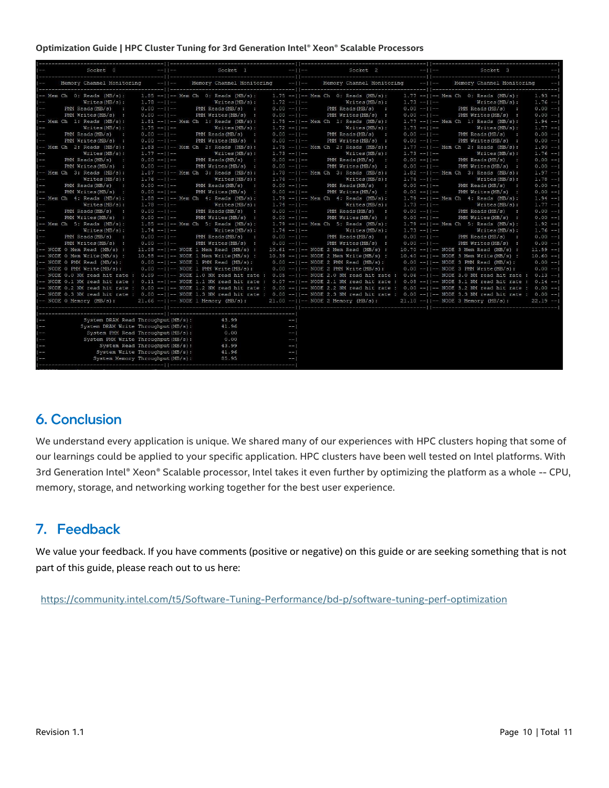| Socket 0                                                                                                                                                                                                                                                                                                  |                                      |                 | $-11-$<br>Socket 1                            |                                                                         |                 |  | $-$   -- Socket 2                                                                                                 |               | $-11-$<br>Socket 3<br>-31                   |                                                                                                                                                                |              |
|-----------------------------------------------------------------------------------------------------------------------------------------------------------------------------------------------------------------------------------------------------------------------------------------------------------|--------------------------------------|-----------------|-----------------------------------------------|-------------------------------------------------------------------------|-----------------|--|-------------------------------------------------------------------------------------------------------------------|---------------|---------------------------------------------|----------------------------------------------------------------------------------------------------------------------------------------------------------------|--------------|
| Memory Channel Monitoring                                                                                                                                                                                                                                                                                 |                                      |                 | $-11-$<br>$-11-$<br>Memory Channel Monitoring |                                                                         |                 |  | Memory Channel Monitoring                                                                                         |               | $-11-$<br>$-1$<br>Memory Channel Monitoring |                                                                                                                                                                |              |
|                                                                                                                                                                                                                                                                                                           | $I--$ Mem Ch $0:$ Reads $(MB/s):$    |                 |                                               |                                                                         |                 |  | 1.85 -- $ -$ Mem Ch 0: Reads (MB/s): 1.75 -- $ -$ Mem Ch 0: Reads (MB/s): 1.77 -- $ -$ Mem Ch 0: Reads (MB/s):    |               |                                             |                                                                                                                                                                | $1.93 - -1$  |
|                                                                                                                                                                                                                                                                                                           | Writes(MB/s):                        | $1.78 - 11 -$   |                                               | Writes(MB/s):                                                           | $1.72 - 11 - -$ |  | Writes(MB/s):                                                                                                     |               |                                             | $1.73 -11 -$ Writes (MB/s):                                                                                                                                    | $1.76 - 1$   |
|                                                                                                                                                                                                                                                                                                           | $PMM$ Reads $(MB/s)$ :               | $0.00 - 11 -$   |                                               | PMM Reads (MB/s) :                                                      | $0.00 -11$ -    |  | $PMM$ Reads $(MB/s)$ :                                                                                            |               |                                             | $0.00 - 11 -$ PMM Reads (MB/s) :                                                                                                                               | $0.00 -1$    |
|                                                                                                                                                                                                                                                                                                           | PMM Writes (MB/s) :                  | $0.00 -11 -$    |                                               | PMM Writes (MB/s) :                                                     | $0.00 - 11 - 1$ |  | PMM Writes (MB/s) :                                                                                               | $0.00 -11 -$  |                                             | PMM Writes (MB/s) :                                                                                                                                            | $0.00 -1$    |
|                                                                                                                                                                                                                                                                                                           | $I--$ Mem Ch 1: Reads (MB/s):        |                 |                                               | $1.81 - -1$ -- Mem Ch 1: Reads (MB/s):                                  |                 |  | $1.75$ -- $  $ -- Mem Ch 1: Reads (MB/s):                                                                         |               |                                             | $1.77 - -11 - -$ Mem Ch 1: Reads (MB/s):                                                                                                                       | $1.94 -1$    |
| $1 - 1$                                                                                                                                                                                                                                                                                                   | Writes(MB/s):                        | $1.75 - 11 -$   |                                               | $Writes(MB/s)$ :                                                        | $1.72 - 11 - -$ |  | Writes(MB/s):                                                                                                     |               |                                             | $1.73 - -11 - -$ Writes (MB/s):                                                                                                                                | $1.77 - -1$  |
|                                                                                                                                                                                                                                                                                                           | PMM Reads (MB/s) :                   | $0.00 - 11 -$   |                                               | PMM Reads (MB/s) :                                                      | $0.00 -11$ -    |  | PMM Reads (MB/s) :                                                                                                |               |                                             | $0.00 -     --$ PMM Reads (MB/s) :                                                                                                                             | $0.00 -1$    |
| $1 - \infty$                                                                                                                                                                                                                                                                                              | PMM Writes (MB/s) :                  | $0.00 -11 -$    |                                               | PMM Writes (MB/s) :                                                     | $0.00 - 11 - -$ |  | PMM Writes (MB/s) :                                                                                               | $0.00 - 11 -$ |                                             | PMM Writes (MB/s) :                                                                                                                                            | $0.00 -1$    |
|                                                                                                                                                                                                                                                                                                           | $ --$ Mem Ch 2: Reads $(MB/s)$ :     |                 |                                               | $1.83$ --  -- Mem Ch 2: Reads (MB/s):                                   |                 |  | $1.75$ -- $  $ -- Mem Ch 2: Reads (MB/s):                                                                         |               |                                             | $1.77$ --  -- Mem Ch 2: Reads (MB/s):                                                                                                                          | $1.90 -1$    |
| $1 - 1$                                                                                                                                                                                                                                                                                                   | Writes(MB/s):                        | $1.77 - 11 - -$ |                                               | $Writes(MB/s)$ :                                                        | $1.73 - 11 - -$ |  | $Writes(MB/s)$ :                                                                                                  | $1.73 - 11 -$ |                                             | Writes(MB/s):                                                                                                                                                  | $1.76 - -$   |
|                                                                                                                                                                                                                                                                                                           | $PMM$ Reads $(MB/s)$ :               | $0.00 -11 -$    |                                               | $PMM$ Reads $(MB/s)$ :                                                  | $0.00 -11 -$    |  | $PHM$ Reads $(MB/s)$ :                                                                                            | $0.00 -11 -$  |                                             | $PMM$ Reads $(MB/s)$ :                                                                                                                                         | $0.00 -1$    |
|                                                                                                                                                                                                                                                                                                           | PMM Writes (MB/s) :                  | $0.00 -11 -$    |                                               | PMM Writes (MB/s) :                                                     | $0.00 -11 -$    |  | PMM Writes (MB/s) :                                                                                               | $0.00 -11 -$  |                                             | PMM Writes (MB/s) :                                                                                                                                            | $0.00 -1$    |
|                                                                                                                                                                                                                                                                                                           | $ --$ Mem Ch 3: Reads (MB/s):        |                 |                                               | $1.87 - -   - -$ Mem Ch 3: Reads (MB/s):                                |                 |  | $1.78 - -1$ $---$ Mem Ch 3: Reads (MB/s):                                                                         |               |                                             | $1.82 - -11 -$ Mem Ch 3: Reads (MB/s):                                                                                                                         | $1.97 - -1$  |
|                                                                                                                                                                                                                                                                                                           | Writes(MB/s):                        | $1.76 - 11 -$   |                                               | Writes(MB/s):                                                           | $1.74 - 11 - -$ |  | Writees(MB/s):                                                                                                    | $1.74 - 11 -$ |                                             | Writes(MB/s):                                                                                                                                                  | $1.78 - 1$   |
|                                                                                                                                                                                                                                                                                                           | PMM Reads (MB/s) :                   | $0.00 -11 -$    |                                               | PMM Reads (MB/s) :                                                      | $0.00 -11 -$    |  | $PMM$ Reads $(MB/s)$ :                                                                                            |               |                                             | $0.00 - -11 - -$ PMM Reads (MB/s) :                                                                                                                            | $0.00 -1$    |
|                                                                                                                                                                                                                                                                                                           | PMM Writes (MB/s) :                  | $0.00 -11$ --   |                                               | PMM Writes (MB/s) :                                                     | $0.00 -11 -$    |  | PMM Writes (MB/s) :                                                                                               | $0.00 -11 -$  |                                             | PMM Writes (MB/s) :                                                                                                                                            | $0.00 -1$    |
|                                                                                                                                                                                                                                                                                                           | $I--$ Mem Ch 4: Reads (MB/s):        |                 |                                               | $1.88 - -11 - -$ Mem Ch 4: Reads (MB/s):                                |                 |  | $1.79 - -11 -$ Mem Ch 4: Reads (MB/s):                                                                            |               |                                             | $1.79 - -11 -$ Mem Ch 4: Reads (MB/s):                                                                                                                         | $1.94 -1$    |
|                                                                                                                                                                                                                                                                                                           | Writes(MB/s):                        | $1.78 - 11 -$   |                                               | Writes(MB/s):                                                           | $1.74 -  1--$   |  | Writes(MB/s):                                                                                                     | $1.73 - 11 -$ |                                             | Writes(MB/s):                                                                                                                                                  | $1.77 - -1$  |
| $\frac{1}{1}$ --                                                                                                                                                                                                                                                                                          | $PMM$ Reads $(MB/s)$ :               | $0.00 - 11 -$   |                                               | $PMM$ Reads $(MB/s)$ :                                                  | $0.00 -11$ -    |  | $PMM$ Reads $(MB/s)$ :                                                                                            | $0.00 -11$ -  |                                             | $PMM$ Reads $(MB/s)$ :                                                                                                                                         | $0.00 -1$    |
| $1 - 1$                                                                                                                                                                                                                                                                                                   | PMM Writes (MB/s) :                  | $0.00 -11 -$    |                                               | PMM Writes (MB/s) :                                                     | $0.00 -11 -$    |  | PMM Writes (MB/s) :                                                                                               | $0.00 - 11 -$ |                                             | PMM Writes (MB/s) :                                                                                                                                            | $0.00 -1$    |
|                                                                                                                                                                                                                                                                                                           | $I--$ Mem Ch 5: Reads (MB/s):        |                 |                                               | $1.85$ --  -- Mem Ch 5: Reads (MB/s):                                   |                 |  | $1.79 - -11 -$ Mem Ch 5: Reads (MB/s):                                                                            |               |                                             | $1.79 - -11 - -$ Mem Ch 5: Reads (MB/s):                                                                                                                       | $1.92 - -1$  |
|                                                                                                                                                                                                                                                                                                           | Writes(MB/s):                        | $1.74 - 11 - -$ |                                               | Writes(MB/s):                                                           | $1.74 - 11 -$   |  | Writes (MB/s):                                                                                                    |               |                                             | $1.73 -    - -$ Writes (MB/s):                                                                                                                                 | $1.76 - 1$   |
|                                                                                                                                                                                                                                                                                                           | $I--$ PMM Reads (MB/s) :             |                 |                                               | $0.00 -11 - -$ PMM Reads (MB/s) :                                       |                 |  | $0.00 - -11 - -$ PMM Reads (MB/s) :                                                                               |               |                                             | $0.00 -11 -$ PMM Reads (MB/s) :                                                                                                                                | $0.00 -1$    |
|                                                                                                                                                                                                                                                                                                           | PMM Writes (MB/s) :                  |                 |                                               | $0.00 -11 - -$ PMM Writes (MB/s) :                                      | $0.00 -11 -$    |  | PMM Writes (MB/s) :                                                                                               | $0.00 -11 -$  |                                             | PMM Writes (MB/s) :                                                                                                                                            | $0.00 -1$    |
|                                                                                                                                                                                                                                                                                                           | -- NODE 0 Mem Read (MB/s) :          |                 |                                               | $11.08$ --  -- NODE 1 Mem Read (MB/s) :                                 |                 |  | $10.61 - -11 -$ NODE 2 Mem Read (MB/s) :                                                                          |               |                                             | $10.70 - -11 -$ NODE 3 Mem Read (MB/s) :                                                                                                                       | $11.59 - -1$ |
|                                                                                                                                                                                                                                                                                                           | -- NODE 0 Mem Write (MB/s) :         |                 |                                               | $10.58$ --  -- NODE 1 Mem Write (MB/s) :                                |                 |  | $10.39$ --  -- NODE 2 Mem Write (MB/s) :                                                                          |               |                                             | $10.40 - -11 - -$ NODE 3 Mem Write (MB/s) :                                                                                                                    | $10.60 -1$   |
|                                                                                                                                                                                                                                                                                                           | $I--$ NODE 0 PMM Read (MB/s):        |                 |                                               | 0.00 --  -- NODE 1 PMM Read (MB/s): 0.00 --  -- NODE 2 PMM Read (MB/s): |                 |  |                                                                                                                   |               |                                             | $0.00$ --  -- NODE 3 PMM Read (MB/s):                                                                                                                          | $0.00 -1$    |
|                                                                                                                                                                                                                                                                                                           | -- NODE 0 PMM Write (MB/s) :         |                 |                                               | $0.00$ --  -- NODE 1 PMM Write (MB/s):                                  |                 |  | $0.00$ --  -- NODE 2 PMM Write (MB/s):                                                                            |               |                                             | $0.00$ --  -- NODE 3 PMM Write (MB/s):                                                                                                                         | $0.00 -1$    |
|                                                                                                                                                                                                                                                                                                           |                                      |                 |                                               |                                                                         |                 |  |                                                                                                                   |               |                                             | -- NODE 0.0 NM read hit rate : 0.09 --  -- NODE 1.0 NM read hit rate : 0.05 --  -- NODE 2.0 NM read hit rate : 0.06 --  -- NODE 3.0 NM read hit rate : 0.13 -- |              |
|                                                                                                                                                                                                                                                                                                           |                                      |                 |                                               |                                                                         |                 |  |                                                                                                                   |               |                                             | -- NODE 0.1 NM read hit rate : 0.11 --  -- NODE 1.1 NM read hit rate : 0.07 --  -- NODE 2.1 NM read hit rate : 0.08 --  -- NODE 3.1 NM read hit rate : 0.14 -- |              |
|                                                                                                                                                                                                                                                                                                           |                                      |                 |                                               |                                                                         |                 |  |                                                                                                                   |               |                                             | -- NODE 0.2 NM read hit rate : 0.00 --  -- NODE 1.2 NM read hit rate : 0.00 --  -- NODE 2.2 NM read hit rate : 0.00 --  -- NODE 3.2 NM read hit rate : 0.00 -- |              |
|                                                                                                                                                                                                                                                                                                           |                                      |                 |                                               |                                                                         |                 |  |                                                                                                                   |               |                                             | -- NODE 0.3 NM read hit rate : 0.00 --  -- NODE 1.3 NM read hit rate : 0.00 --  -- NODE 2.3 NM read hit rate : 0.00 --  -- NODE 3.3 NM read hit rate : 0.00 -- |              |
|                                                                                                                                                                                                                                                                                                           | (-- NODE 0 Memory (MB/s):            |                 |                                               |                                                                         |                 |  | 21.66 --     -- NODE 1 Memory (MB/s): 21.00 --     -- NODE 2 Memory (MB/s): 21.10 --     -- NODE 3 Memory (MB/s): |               |                                             |                                                                                                                                                                | $22.19 - 1$  |
|                                                                                                                                                                                                                                                                                                           |                                      |                 |                                               |                                                                         |                 |  |                                                                                                                   |               |                                             |                                                                                                                                                                |              |
|                                                                                                                                                                                                                                                                                                           |                                      |                 |                                               |                                                                         |                 |  |                                                                                                                   |               |                                             |                                                                                                                                                                |              |
| $1 - \epsilon$                                                                                                                                                                                                                                                                                            | System DRAM Read Throughput (MB/s) : |                 |                                               | 43.99                                                                   | $-1$            |  |                                                                                                                   |               |                                             |                                                                                                                                                                |              |
|                                                                                                                                                                                                                                                                                                           | System DRAM Write Throughput (MB/s): |                 |                                               | 41.96                                                                   | $-1$            |  |                                                                                                                   |               |                                             |                                                                                                                                                                |              |
|                                                                                                                                                                                                                                                                                                           | System PMM Read Throughput (MB/s) :  |                 |                                               | 0.00                                                                    | $- - 1$         |  |                                                                                                                   |               |                                             |                                                                                                                                                                |              |
| $\frac{1}{1}$ = $\frac{1}{1}$ = $\frac{1}{1}$ = $\frac{1}{1}$ = $\frac{1}{1}$ = $\frac{1}{1}$ = $\frac{1}{1}$ = $\frac{1}{1}$ = $\frac{1}{1}$ = $\frac{1}{1}$ = $\frac{1}{1}$ = $\frac{1}{1}$ = $\frac{1}{1}$ = $\frac{1}{1}$ = $\frac{1}{1}$ = $\frac{1}{1}$ = $\frac{1}{1}$ = $\frac{1}{1}$ = $\frac{1$ | System PMM Write Throughput (MB/s) : |                 |                                               | 0.00                                                                    | $--$            |  |                                                                                                                   |               |                                             |                                                                                                                                                                |              |
|                                                                                                                                                                                                                                                                                                           | System Read Throughput (MB/s):       |                 |                                               | 43.99                                                                   | $- -$           |  |                                                                                                                   |               |                                             |                                                                                                                                                                |              |
|                                                                                                                                                                                                                                                                                                           | System Write Throughput (MB/s) :     |                 |                                               | 41.96                                                                   | $--$            |  |                                                                                                                   |               |                                             |                                                                                                                                                                |              |
|                                                                                                                                                                                                                                                                                                           | System Memory Throughput (MB/s) :    |                 |                                               | 85.95                                                                   | $--1$           |  |                                                                                                                   |               |                                             |                                                                                                                                                                |              |
| г.                                                                                                                                                                                                                                                                                                        |                                      |                 |                                               |                                                                         |                 |  |                                                                                                                   |               |                                             |                                                                                                                                                                |              |

# <span id="page-9-0"></span>**6. Conclusion**

We understand every application is unique. We shared many of our experiences with HPC clusters hoping that some of our learnings could be applied to your specific application. HPC clusters have been well tested on Intel platforms. With 3rd Generation Intel® Xeon® Scalable processor, Intel takes it even further by optimizing the platform as a whole -- CPU, memory, storage, and networking working together for the best user experience.

# <span id="page-9-1"></span>7. Feedback

We value your feedback. If you have comments (positive or negative) on this guide or are seeking something that is not part of this guide, please reach out to us [here:](https://community.intel.com/t5/Software-Tuning-Performance/bd-p/software-tuning-perf-optimization)

<https://community.intel.com/t5/Software-Tuning-Performance/bd-p/software-tuning-perf-optimization>